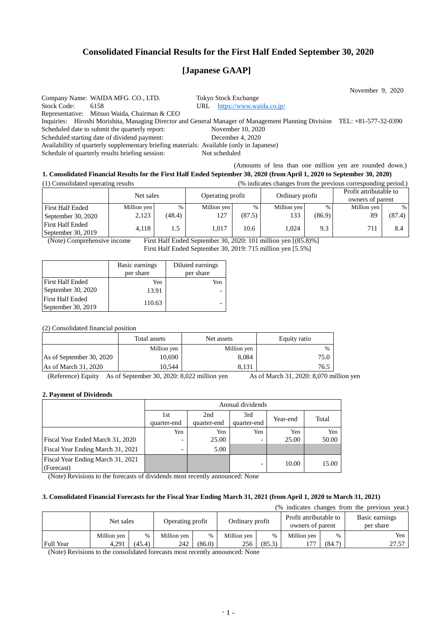## **Consolidated Financial Results for the First Half Ended September 30, 2020**

# **[Japanese GAAP]**

November 9, 2020 Company Name: WAIDA MFG. CO., LTD. Tokyo Stock Exchange Stock Code: 6158 URL <https://www.waida.co.jp/> Representative: Mitsuo Waida, Chairman & CEO Inquiries: Hiroshi Morishita, Managing Director and General Manager of Management Planning Division TEL: +81-577-32-0390 Scheduled date to submit the quarterly report: November 10, 2020 Scheduled starting date of dividend payment: December 4, 2020 Availability of quarterly supplementary briefing materials: Available (only in Japanese) Schedule of quarterly results briefing session: Not scheduled (Amounts of less than one million yen are rounded down.)

## **1. Consolidated Financial Results for the First Half Ended September 30, 2020 (from April 1, 2020 to September 30, 2020)** (1) Consolidated operating results (% indicates changes from the previous corresponding period.)

|                                               | Net sales   |        | Operating profit |        | ີ<br>Ordinary profit |        | Profit attributable to<br>owners of parent |        |
|-----------------------------------------------|-------------|--------|------------------|--------|----------------------|--------|--------------------------------------------|--------|
| <b>First Half Ended</b>                       | Million yen | %      | Million yen      | %      | Million yen          | $\%$   | Million yen                                | $\%$   |
| September 30, 2020                            | 2,123       | (48.4) | 127              | (87.5) | 133                  | (86.9) | 89                                         | (87.4) |
| <b>First Half Ended</b><br>September 30, 2019 | 4.118       |        | 1.017            | 10.6   | 1.024                | 9.3    | 711                                        | 8.4    |

(Note) Comprehensive income First Half Ended September 30, 2020: 101 million yen [(85.8)%] First Half Ended September 30, 2019: 715 million yen [5.5%]

|                         | Basic earnings | Diluted earnings |  |  |
|-------------------------|----------------|------------------|--|--|
|                         | per share      | per share        |  |  |
| <b>First Half Ended</b> | Yen            | Yen              |  |  |
| September 30, 2020      | 13.91          |                  |  |  |
| <b>First Half Ended</b> |                |                  |  |  |
| September 30, 2019      | 110.63         |                  |  |  |

(2) Consolidated financial position

|                          | Total assets | Net assets  | Equity ratio |
|--------------------------|--------------|-------------|--------------|
|                          | Million yen  | Million yen | $\%$         |
| As of September 30, 2020 | 10.690       | 8,084       | 75.0         |
| As of March $31,2020$    | 10.544       | 8.131       | 76.5         |

(Reference) Equity As of September 30, 2020: 8,022 million yen As of March 31, 2020: 8,070 million yen

#### **2. Payment of Dividends**

|                                   | Annual dividends |             |             |          |       |
|-----------------------------------|------------------|-------------|-------------|----------|-------|
|                                   | 1st              | 2nd         | 3rd         | Year-end | Total |
|                                   | quarter-end      | quarter-end | quarter-end |          |       |
|                                   | Yen              | Yen         | Yen         | Yen      | Yen   |
| Fiscal Year Ended March 31, 2020  |                  | 25.00       |             | 25.00    | 50.00 |
| Fiscal Year Ending March 31, 2021 | -                | 5.00        |             |          |       |
| Fiscal Year Ending March 31, 2021 |                  |             |             | 10.00    | 15.00 |
| (Forecast)                        |                  |             |             |          |       |

(Note) Revisions to the forecasts of dividends most recently announced: None

### **3. Consolidated Financial Forecasts for the Fiscal Year Ending March 31, 2021 (from April 1, 2020 to March 31, 2021)**

(% indicates changes from the previous year.)

|                  | Net sales   |        | Operating profit |        | Ordinary profit |        | Profit attributable to<br>owners of parent |        | Basic earnings<br>per share |  |
|------------------|-------------|--------|------------------|--------|-----------------|--------|--------------------------------------------|--------|-----------------------------|--|
|                  | Million ven | %      | Million ven      | $\%$   | Million ven     | $\%$   | Million ven                                | $\%$   | Yen                         |  |
| <b>Full Year</b> | 4.291       | (45.4) | 242              | (86.0) | 256             | (85.3) | 177                                        | (84.7) | 27.57                       |  |

(Note) Revisions to the consolidated forecasts most recently announced: None